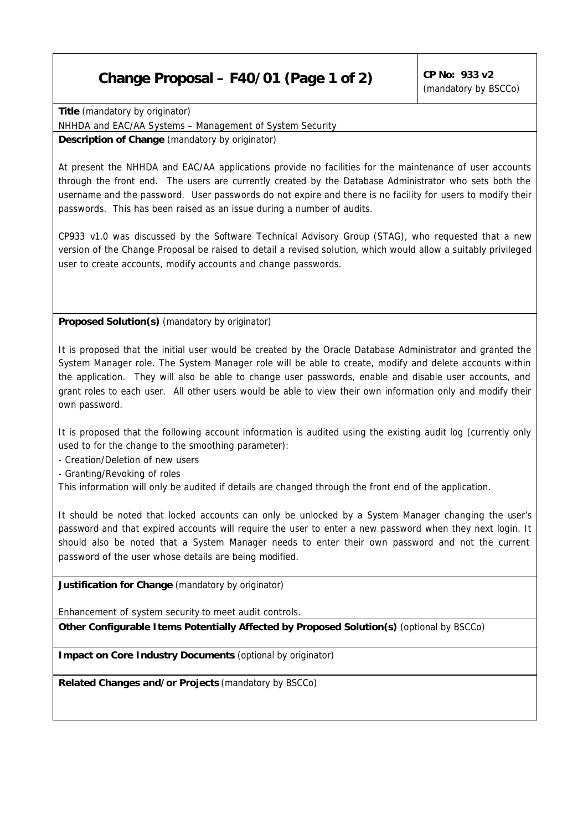## **Change Proposal – F40/01 (Page 1 of 2) CP No: 933 v2**

**Title** *(mandatory by originator)*  NHHDA and EAC/AA Systems – Management of System Security

**Description of Change** *(mandatory by originator)*

At present the NHHDA and EAC/AA applications provide no facilities for the maintenance of user accounts through the front end. The users are currently created by the Database Administrator who sets both the username and the password. User passwords do not expire and there is no facility for users to modify their passwords. This has been raised as an issue during a number of audits.

CP933 v1.0 was discussed by the Software Technical Advisory Group (STAG), who requested that a new version of the Change Proposal be raised to detail a revised solution, which would allow a suitably privileged user to create accounts, modify accounts and change passwords.

**Proposed Solution(s)** *(mandatory by originator)*

It is proposed that the initial user would be created by the Oracle Database Administrator and granted the System Manager role. The System Manager role will be able to create, modify and delete accounts within the application. They will also be able to change user passwords, enable and disable user accounts, and grant roles to each user. All other users would be able to view their own information only and modify their own password.

It is proposed that the following account information is audited using the existing audit log (currently only used to for the change to the smoothing parameter):

- Creation/Deletion of new users

- Granting/Revoking of roles

This information will only be audited if details are changed through the front end of the application.

It should be noted that locked accounts can only be unlocked by a System Manager changing the user's password and that expired accounts will require the user to enter a new password when they next login. It should also be noted that a System Manager needs to enter their own password and not the current password of the user whose details are being modified.

**Justification for Change** *(mandatory by originator)*

Enhancement of system security to meet audit controls.

**Other Configurable Items Potentially Affected by Proposed Solution(s)** *(optional by BSCCo)*

**Impact on Core Industry Documents** *(optional by originator)*

**Related Changes and/or Projects** *(mandatory by BSCCo)*